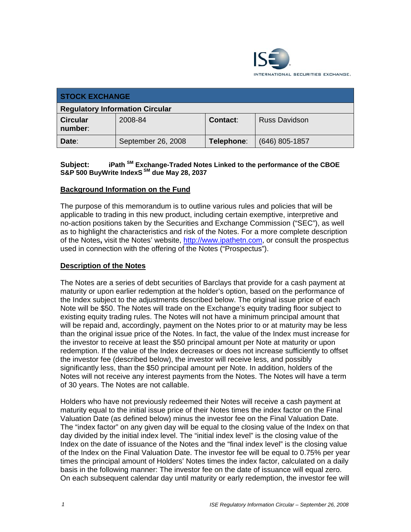

| <b>STOCK EXCHANGE</b>                  |                    |                 |                      |
|----------------------------------------|--------------------|-----------------|----------------------|
| <b>Regulatory Information Circular</b> |                    |                 |                      |
| <b>Circular</b><br>number:             | 2008-84            | <b>Contact:</b> | <b>Russ Davidson</b> |
| Date:                                  | September 26, 2008 | Telephone:      | $(646)$ 805-1857     |

# Subject: **iPath SM Exchange-Traded Notes Linked to the performance of the CBOE S&P 500 BuyWrite IndexS SM due May 28, 2037**

### **Background Information on the Fund**

The purpose of this memorandum is to outline various rules and policies that will be applicable to trading in this new product, including certain exemptive, interpretive and no-action positions taken by the Securities and Exchange Commission ("SEC"), as well as to highlight the characteristics and risk of the Notes. For a more complete description of the Notes**,** visit the Notes' website, http://www.ipathetn.com, or consult the prospectus used in connection with the offering of the Notes ("Prospectus").

#### **Description of the Notes**

The Notes are a series of debt securities of Barclays that provide for a cash payment at maturity or upon earlier redemption at the holder's option, based on the performance of the Index subject to the adjustments described below. The original issue price of each Note will be \$50. The Notes will trade on the Exchange's equity trading floor subject to existing equity trading rules. The Notes will not have a minimum principal amount that will be repaid and, accordingly, payment on the Notes prior to or at maturity may be less than the original issue price of the Notes. In fact, the value of the Index must increase for the investor to receive at least the \$50 principal amount per Note at maturity or upon redemption. If the value of the Index decreases or does not increase sufficiently to offset the investor fee (described below), the investor will receive less, and possibly significantly less, than the \$50 principal amount per Note. In addition, holders of the Notes will not receive any interest payments from the Notes. The Notes will have a term of 30 years. The Notes are not callable.

Holders who have not previously redeemed their Notes will receive a cash payment at maturity equal to the initial issue price of their Notes times the index factor on the Final Valuation Date (as defined below) minus the investor fee on the Final Valuation Date. The "index factor" on any given day will be equal to the closing value of the Index on that day divided by the initial index level. The "initial index level" is the closing value of the Index on the date of issuance of the Notes and the "final index level" is the closing value of the Index on the Final Valuation Date. The investor fee will be equal to 0.75% per year times the principal amount of Holders' Notes times the index factor, calculated on a daily basis in the following manner: The investor fee on the date of issuance will equal zero. On each subsequent calendar day until maturity or early redemption, the investor fee will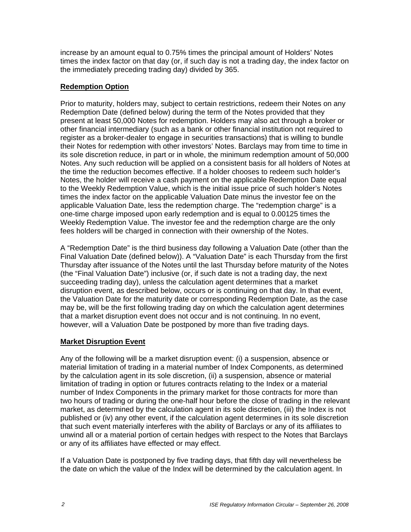increase by an amount equal to 0.75% times the principal amount of Holders' Notes times the index factor on that day (or, if such day is not a trading day, the index factor on the immediately preceding trading day) divided by 365.

# **Redemption Option**

Prior to maturity, holders may, subject to certain restrictions, redeem their Notes on any Redemption Date (defined below) during the term of the Notes provided that they present at least 50,000 Notes for redemption. Holders may also act through a broker or other financial intermediary (such as a bank or other financial institution not required to register as a broker-dealer to engage in securities transactions) that is willing to bundle their Notes for redemption with other investors' Notes. Barclays may from time to time in its sole discretion reduce, in part or in whole, the minimum redemption amount of 50,000 Notes. Any such reduction will be applied on a consistent basis for all holders of Notes at the time the reduction becomes effective. If a holder chooses to redeem such holder's Notes, the holder will receive a cash payment on the applicable Redemption Date equal to the Weekly Redemption Value, which is the initial issue price of such holder's Notes times the index factor on the applicable Valuation Date minus the investor fee on the applicable Valuation Date, less the redemption charge. The "redemption charge" is a one-time charge imposed upon early redemption and is equal to 0.00125 times the Weekly Redemption Value. The investor fee and the redemption charge are the only fees holders will be charged in connection with their ownership of the Notes.

A "Redemption Date" is the third business day following a Valuation Date (other than the Final Valuation Date (defined below)). A "Valuation Date" is each Thursday from the first Thursday after issuance of the Notes until the last Thursday before maturity of the Notes (the "Final Valuation Date") inclusive (or, if such date is not a trading day, the next succeeding trading day), unless the calculation agent determines that a market disruption event, as described below, occurs or is continuing on that day. In that event, the Valuation Date for the maturity date or corresponding Redemption Date, as the case may be, will be the first following trading day on which the calculation agent determines that a market disruption event does not occur and is not continuing. In no event, however, will a Valuation Date be postponed by more than five trading days.

### **Market Disruption Event**

Any of the following will be a market disruption event: (i) a suspension, absence or material limitation of trading in a material number of Index Components, as determined by the calculation agent in its sole discretion, (ii) a suspension, absence or material limitation of trading in option or futures contracts relating to the Index or a material number of Index Components in the primary market for those contracts for more than two hours of trading or during the one-half hour before the close of trading in the relevant market, as determined by the calculation agent in its sole discretion, (iii) the Index is not published or (iv) any other event, if the calculation agent determines in its sole discretion that such event materially interferes with the ability of Barclays or any of its affiliates to unwind all or a material portion of certain hedges with respect to the Notes that Barclays or any of its affiliates have effected or may effect.

If a Valuation Date is postponed by five trading days, that fifth day will nevertheless be the date on which the value of the Index will be determined by the calculation agent. In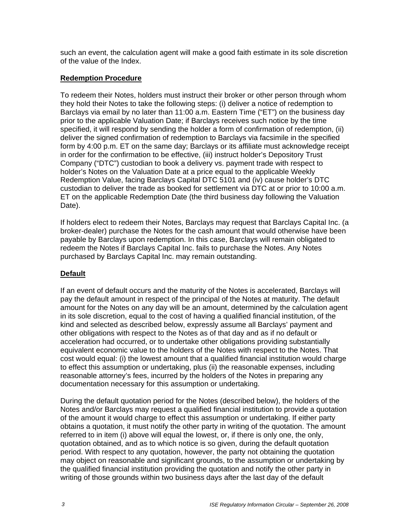such an event, the calculation agent will make a good faith estimate in its sole discretion of the value of the Index.

#### **Redemption Procedure**

To redeem their Notes, holders must instruct their broker or other person through whom they hold their Notes to take the following steps: (i) deliver a notice of redemption to Barclays via email by no later than 11:00 a.m. Eastern Time ("ET") on the business day prior to the applicable Valuation Date; if Barclays receives such notice by the time specified, it will respond by sending the holder a form of confirmation of redemption, (ii) deliver the signed confirmation of redemption to Barclays via facsimile in the specified form by 4:00 p.m. ET on the same day; Barclays or its affiliate must acknowledge receipt in order for the confirmation to be effective, (iii) instruct holder's Depository Trust Company ("DTC") custodian to book a delivery vs. payment trade with respect to holder's Notes on the Valuation Date at a price equal to the applicable Weekly Redemption Value, facing Barclays Capital DTC 5101 and (iv) cause holder's DTC custodian to deliver the trade as booked for settlement via DTC at or prior to 10:00 a.m. ET on the applicable Redemption Date (the third business day following the Valuation Date).

If holders elect to redeem their Notes, Barclays may request that Barclays Capital Inc. (a broker-dealer) purchase the Notes for the cash amount that would otherwise have been payable by Barclays upon redemption. In this case, Barclays will remain obligated to redeem the Notes if Barclays Capital Inc. fails to purchase the Notes. Any Notes purchased by Barclays Capital Inc. may remain outstanding.

### **Default**

If an event of default occurs and the maturity of the Notes is accelerated, Barclays will pay the default amount in respect of the principal of the Notes at maturity. The default amount for the Notes on any day will be an amount, determined by the calculation agent in its sole discretion, equal to the cost of having a qualified financial institution, of the kind and selected as described below, expressly assume all Barclays' payment and other obligations with respect to the Notes as of that day and as if no default or acceleration had occurred, or to undertake other obligations providing substantially equivalent economic value to the holders of the Notes with respect to the Notes. That cost would equal: (i) the lowest amount that a qualified financial institution would charge to effect this assumption or undertaking, plus (ii) the reasonable expenses, including reasonable attorney's fees, incurred by the holders of the Notes in preparing any documentation necessary for this assumption or undertaking.

During the default quotation period for the Notes (described below), the holders of the Notes and/or Barclays may request a qualified financial institution to provide a quotation of the amount it would charge to effect this assumption or undertaking. If either party obtains a quotation, it must notify the other party in writing of the quotation. The amount referred to in item (i) above will equal the lowest, or, if there is only one, the only, quotation obtained, and as to which notice is so given, during the default quotation period. With respect to any quotation, however, the party not obtaining the quotation may object on reasonable and significant grounds, to the assumption or undertaking by the qualified financial institution providing the quotation and notify the other party in writing of those grounds within two business days after the last day of the default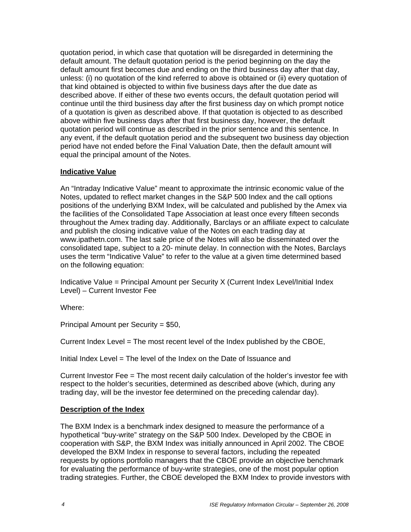quotation period, in which case that quotation will be disregarded in determining the default amount. The default quotation period is the period beginning on the day the default amount first becomes due and ending on the third business day after that day, unless: (i) no quotation of the kind referred to above is obtained or (ii) every quotation of that kind obtained is objected to within five business days after the due date as described above. If either of these two events occurs, the default quotation period will continue until the third business day after the first business day on which prompt notice of a quotation is given as described above. If that quotation is objected to as described above within five business days after that first business day, however, the default quotation period will continue as described in the prior sentence and this sentence. In any event, if the default quotation period and the subsequent two business day objection period have not ended before the Final Valuation Date, then the default amount will equal the principal amount of the Notes.

### **Indicative Value**

An "Intraday Indicative Value" meant to approximate the intrinsic economic value of the Notes, updated to reflect market changes in the S&P 500 Index and the call options positions of the underlying BXM Index, will be calculated and published by the Amex via the facilities of the Consolidated Tape Association at least once every fifteen seconds throughout the Amex trading day. Additionally, Barclays or an affiliate expect to calculate and publish the closing indicative value of the Notes on each trading day at www.ipathetn.com. The last sale price of the Notes will also be disseminated over the consolidated tape, subject to a 20- minute delay. In connection with the Notes, Barclays uses the term "Indicative Value" to refer to the value at a given time determined based on the following equation:

Indicative Value = Principal Amount per Security X (Current Index Level/Initial Index Level) – Current Investor Fee

Where:

Principal Amount per Security = \$50,

Current Index Level = The most recent level of the Index published by the CBOE,

Initial Index Level = The level of the Index on the Date of Issuance and

Current Investor Fee = The most recent daily calculation of the holder's investor fee with respect to the holder's securities, determined as described above (which, during any trading day, will be the investor fee determined on the preceding calendar day).

#### **Description of the Index**

The BXM Index is a benchmark index designed to measure the performance of a hypothetical "buy-write" strategy on the S&P 500 Index. Developed by the CBOE in cooperation with S&P, the BXM Index was initially announced in April 2002. The CBOE developed the BXM Index in response to several factors, including the repeated requests by options portfolio managers that the CBOE provide an objective benchmark for evaluating the performance of buy-write strategies, one of the most popular option trading strategies. Further, the CBOE developed the BXM Index to provide investors with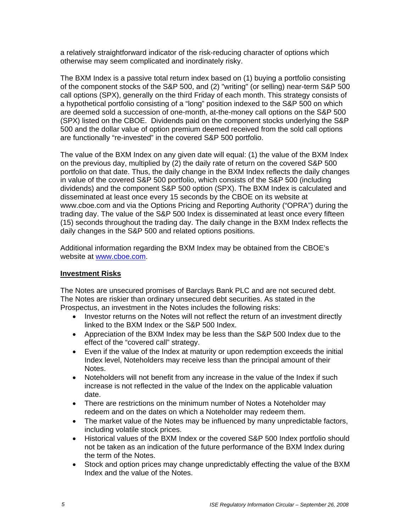a relatively straightforward indicator of the risk-reducing character of options which otherwise may seem complicated and inordinately risky.

The BXM Index is a passive total return index based on (1) buying a portfolio consisting of the component stocks of the S&P 500, and (2) "writing" (or selling) near-term S&P 500 call options (SPX), generally on the third Friday of each month. This strategy consists of a hypothetical portfolio consisting of a "long" position indexed to the S&P 500 on which are deemed sold a succession of one-month, at-the-money call options on the S&P 500 (SPX) listed on the CBOE. Dividends paid on the component stocks underlying the S&P 500 and the dollar value of option premium deemed received from the sold call options are functionally "re-invested" in the covered S&P 500 portfolio.

The value of the BXM Index on any given date will equal: (1) the value of the BXM Index on the previous day, multiplied by (2) the daily rate of return on the covered S&P 500 portfolio on that date. Thus, the daily change in the BXM Index reflects the daily changes in value of the covered S&P 500 portfolio, which consists of the S&P 500 (including dividends) and the component S&P 500 option (SPX). The BXM Index is calculated and disseminated at least once every 15 seconds by the CBOE on its website at www.cboe.com and via the Options Pricing and Reporting Authority ("OPRA") during the trading day. The value of the S&P 500 Index is disseminated at least once every fifteen (15) seconds throughout the trading day. The daily change in the BXM Index reflects the daily changes in the S&P 500 and related options positions.

Additional information regarding the BXM Index may be obtained from the CBOE's website at www.cboe.com.

### **Investment Risks**

The Notes are unsecured promises of Barclays Bank PLC and are not secured debt. The Notes are riskier than ordinary unsecured debt securities. As stated in the Prospectus, an investment in the Notes includes the following risks:

- Investor returns on the Notes will not reflect the return of an investment directly linked to the BXM Index or the S&P 500 Index.
- Appreciation of the BXM Index may be less than the S&P 500 Index due to the effect of the "covered call" strategy.
- Even if the value of the Index at maturity or upon redemption exceeds the initial Index level, Noteholders may receive less than the principal amount of their Notes.
- Noteholders will not benefit from any increase in the value of the Index if such increase is not reflected in the value of the Index on the applicable valuation date.
- There are restrictions on the minimum number of Notes a Noteholder may redeem and on the dates on which a Noteholder may redeem them.
- The market value of the Notes may be influenced by many unpredictable factors, including volatile stock prices.
- Historical values of the BXM Index or the covered S&P 500 Index portfolio should not be taken as an indication of the future performance of the BXM Index during the term of the Notes.
- Stock and option prices may change unpredictably effecting the value of the BXM Index and the value of the Notes.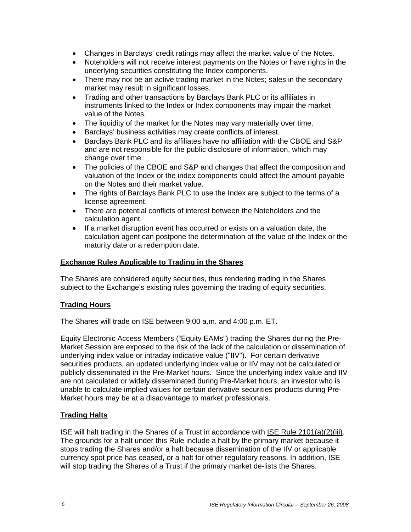- Changes in Barclays' credit ratings may affect the market value of the Notes.
- Noteholders will not receive interest payments on the Notes or have rights in the underlying securities constituting the Index components.
- There may not be an active trading market in the Notes; sales in the secondary market may result in significant losses.
- Trading and other transactions by Barclays Bank PLC or its affiliates in instruments linked to the Index or Index components may impair the market value of the Notes.
- The liquidity of the market for the Notes may vary materially over time.
- Barclays' business activities may create conflicts of interest.
- Barclays Bank PLC and its affiliates have no affiliation with the CBOE and S&P and are not responsible for the public disclosure of information, which may change over time.
- The policies of the CBOE and S&P and changes that affect the composition and valuation of the Index or the index components could affect the amount payable on the Notes and their market value.
- The rights of Barclays Bank PLC to use the Index are subject to the terms of a license agreement.
- There are potential conflicts of interest between the Noteholders and the calculation agent.
- If a market disruption event has occurred or exists on a valuation date, the calculation agent can postpone the determination of the value of the Index or the maturity date or a redemption date.

#### **Exchange Rules Applicable to Trading in the Shares**

The Shares are considered equity securities, thus rendering trading in the Shares subject to the Exchange's existing rules governing the trading of equity securities.

#### **Trading Hours**

The Shares will trade on ISE between 9:00 a.m. and 4:00 p.m. ET.

Equity Electronic Access Members ("Equity EAMs") trading the Shares during the Pre-Market Session are exposed to the risk of the lack of the calculation or dissemination of underlying index value or intraday indicative value ("IIV"). For certain derivative securities products, an updated underlying index value or IIV may not be calculated or publicly disseminated in the Pre-Market hours. Since the underlying index value and IIV are not calculated or widely disseminated during Pre-Market hours, an investor who is unable to calculate implied values for certain derivative securities products during Pre-Market hours may be at a disadvantage to market professionals.

### **Trading Halts**

ISE will halt trading in the Shares of a Trust in accordance with ISE Rule 2101(a)(2)(iii). The grounds for a halt under this Rule include a halt by the primary market because it stops trading the Shares and/or a halt because dissemination of the IIV or applicable currency spot price has ceased, or a halt for other regulatory reasons. In addition, ISE will stop trading the Shares of a Trust if the primary market de-lists the Shares.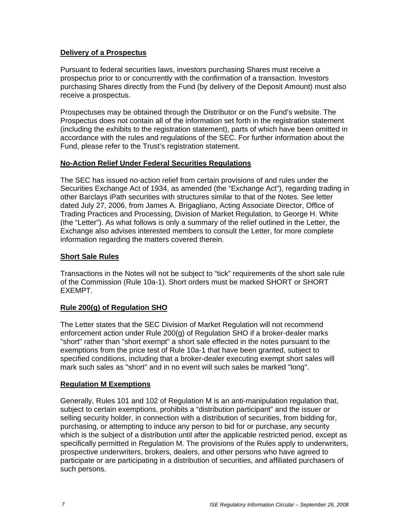### **Delivery of a Prospectus**

Pursuant to federal securities laws, investors purchasing Shares must receive a prospectus prior to or concurrently with the confirmation of a transaction. Investors purchasing Shares directly from the Fund (by delivery of the Deposit Amount) must also receive a prospectus.

Prospectuses may be obtained through the Distributor or on the Fund's website. The Prospectus does not contain all of the information set forth in the registration statement (including the exhibits to the registration statement), parts of which have been omitted in accordance with the rules and regulations of the SEC. For further information about the Fund, please refer to the Trust's registration statement.

# **No-Action Relief Under Federal Securities Regulations**

The SEC has issued no-action relief from certain provisions of and rules under the Securities Exchange Act of 1934, as amended (the "Exchange Act"), regarding trading in other Barclays iPath securities with structures similar to that of the Notes. See letter dated July 27, 2006, from James A. Brigagliano, Acting Associate Director, Office of Trading Practices and Processing, Division of Market Regulation, to George H. White (the "Letter"). As what follows is only a summary of the relief outlined in the Letter, the Exchange also advises interested members to consult the Letter, for more complete information regarding the matters covered therein.

# **Short Sale Rules**

Transactions in the Notes will not be subject to "tick" requirements of the short sale rule of the Commission (Rule 10a-1). Short orders must be marked SHORT or SHORT EXEMPT.

# **Rule 200(g) of Regulation SHO**

The Letter states that the SEC Division of Market Regulation will not recommend enforcement action under Rule 200(g) of Regulation SHO if a broker-dealer marks "short" rather than "short exempt" a short sale effected in the notes pursuant to the exemptions from the price test of Rule 10a-1 that have been granted, subject to specified conditions, including that a broker-dealer executing exempt short sales will mark such sales as "short" and in no event will such sales be marked "long".

### **Regulation M Exemptions**

Generally, Rules 101 and 102 of Regulation M is an anti-manipulation regulation that, subject to certain exemptions, prohibits a "distribution participant" and the issuer or selling security holder, in connection with a distribution of securities, from bidding for, purchasing, or attempting to induce any person to bid for or purchase, any security which is the subject of a distribution until after the applicable restricted period, except as specifically permitted in Regulation M. The provisions of the Rules apply to underwriters, prospective underwriters, brokers, dealers, and other persons who have agreed to participate or are participating in a distribution of securities, and affiliated purchasers of such persons.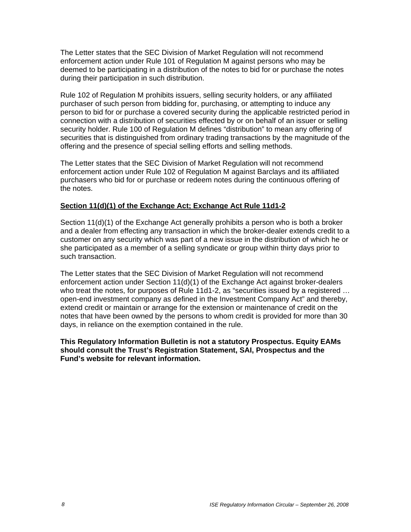The Letter states that the SEC Division of Market Regulation will not recommend enforcement action under Rule 101 of Regulation M against persons who may be deemed to be participating in a distribution of the notes to bid for or purchase the notes during their participation in such distribution.

Rule 102 of Regulation M prohibits issuers, selling security holders, or any affiliated purchaser of such person from bidding for, purchasing, or attempting to induce any person to bid for or purchase a covered security during the applicable restricted period in connection with a distribution of securities effected by or on behalf of an issuer or selling security holder. Rule 100 of Regulation M defines "distribution" to mean any offering of securities that is distinguished from ordinary trading transactions by the magnitude of the offering and the presence of special selling efforts and selling methods.

The Letter states that the SEC Division of Market Regulation will not recommend enforcement action under Rule 102 of Regulation M against Barclays and its affiliated purchasers who bid for or purchase or redeem notes during the continuous offering of the notes.

### **Section 11(d)(1) of the Exchange Act; Exchange Act Rule 11d1-2**

Section 11(d)(1) of the Exchange Act generally prohibits a person who is both a broker and a dealer from effecting any transaction in which the broker-dealer extends credit to a customer on any security which was part of a new issue in the distribution of which he or she participated as a member of a selling syndicate or group within thirty days prior to such transaction.

The Letter states that the SEC Division of Market Regulation will not recommend enforcement action under Section 11(d)(1) of the Exchange Act against broker-dealers who treat the notes, for purposes of Rule 11d1-2, as "securities issued by a registered … open-end investment company as defined in the Investment Company Act" and thereby, extend credit or maintain or arrange for the extension or maintenance of credit on the notes that have been owned by the persons to whom credit is provided for more than 30 days, in reliance on the exemption contained in the rule.

#### **This Regulatory Information Bulletin is not a statutory Prospectus. Equity EAMs should consult the Trust's Registration Statement, SAI, Prospectus and the Fund's website for relevant information.**